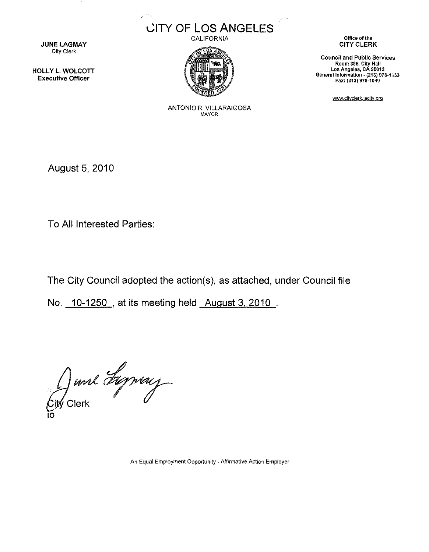

**JUNE LAGMAY** City Clerk

HOLLY L. WOLCOTT Executive Officer

CALIFORNIA



Office of the CITY CLERK

Council and Public Services Room 395, City Hall Los Angeles, CA 90012 General information~ (213) 978-1133 Fax: (213) 978-1040

www.cityclerk.lacity.org

ANTONIO R. VILLARAIGOSA MAYOR

August 5, 2010

To All Interested Parties:

The City Council adopted the action(s), as attached, under Council file

No. 10-1250 , at its meeting held August 3. 2010

Junk Lyney

An Equal Employment Opportunity- Affirmative Action Employer